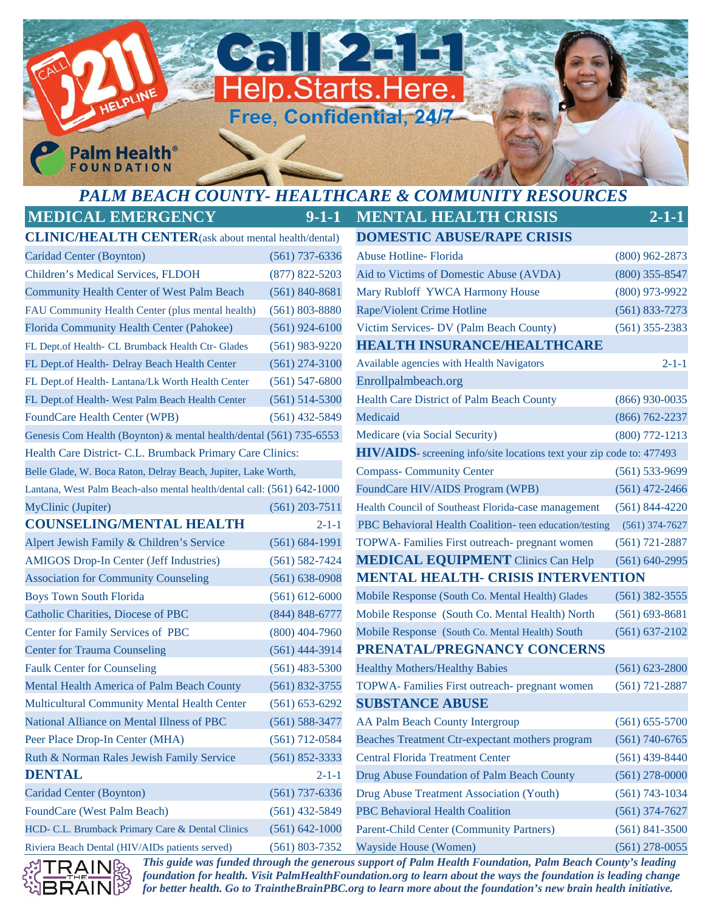## *PALM BEACH COUNTY- HEALTHCARE & COMMUNITY RESOURCES*  **MEDICAL EMERGENCY 9-1-1 MENTAL HEALTH CRISIS 2-1-1**

Help.Starts.Here.

Free, Confidential, 24/7

**CHIP43** 

**CLINIC/HEALTH CENTER**(ask about mental health/dental) **DOMESTIC ABUSE/RAPE CRISIS** FL Dept.of Health- CL Brumback Health Ctr- Glades (561) 983-9220 **HEALTH INSURANCE/HEALTHCARE** FL Dept.of Health- Lantana/Lk Worth Health Center (561) 547-6800 Enrollpalmbeach.org Association for Community Counseling (561) 638-0908 **MENTAL HEALTH- CRISIS INTERVENTION** Center for Trauma Counseling (561) 444-3914 **PRENATAL/PREGNANCY CONCERNS** Multicultural Community Mental Health Center (561) 653-6292 **SUBSTANCE ABUSE**

**Palm Health FOUNDATION** 





*This guide was funded through the generous support of Palm Health Foundation, Palm Beach County's leading foundation for health. Visit PalmHealthFoundation.org to learn about the ways the foundation is leading change for better health. Go to TraintheBrainPBC.org to learn more about the foundation's new brain health initiative.*